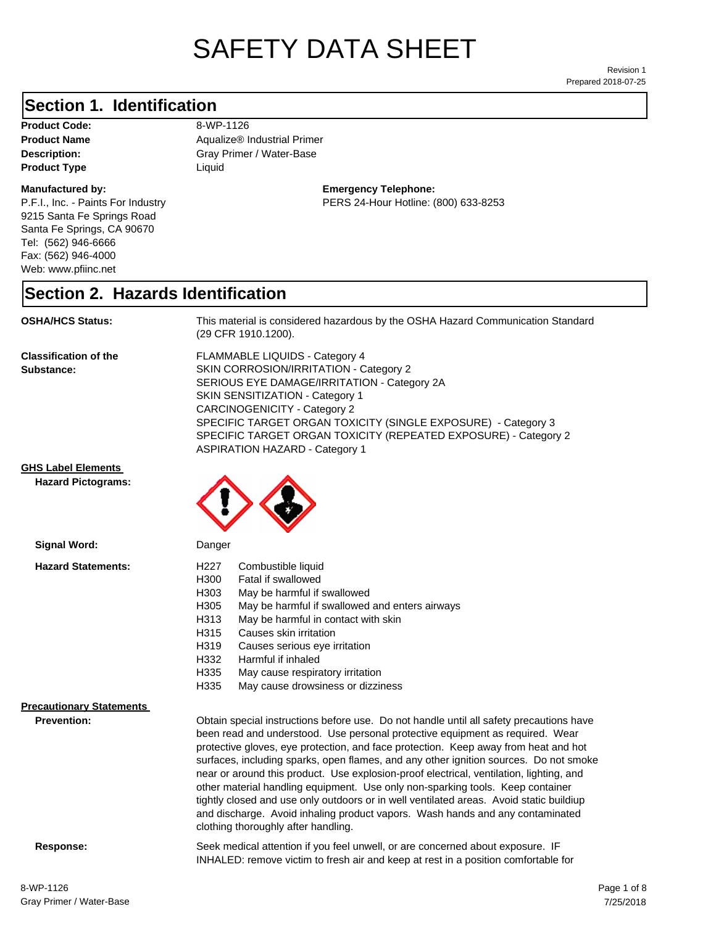# SAFETY DATA SHEET

Prepared 2018-07-25 Revision 1

#### **Section 1. Identification**

**Product Code:** 8-WP-1126 **Product Type Liquid Liquid** 

#### **Manufactured by:**

P.F.I., Inc. - Paints For Industry 9215 Santa Fe Springs Road Santa Fe Springs, CA 90670 Tel: (562) 946-6666 Fax: (562) 946-4000 Web: www.pfiinc.net

**Description:** Gray Primer / Water-Base **Product Name** Aqualize® Industrial Primer

#### **Emergency Telephone:** PERS 24-Hour Hotline: (800) 633-8253

#### **Section 2. Hazards Identification**

**OSHA/HCS Status:** This material is considered hazardous by the OSHA Hazard Communication Standard (29 CFR 1910.1200).

**Classification of the Substance:**

FLAMMABLE LIQUIDS - Category 4 SKIN CORROSION/IRRITATION - Category 2 SERIOUS EYE DAMAGE/IRRITATION - Category 2A SKIN SENSITIZATION - Category 1 CARCINOGENICITY - Category 2 SPECIFIC TARGET ORGAN TOXICITY (SINGLE EXPOSURE) - Category 3 SPECIFIC TARGET ORGAN TOXICITY (REPEATED EXPOSURE) - Category 2 ASPIRATION HAZARD - Category 1

and discharge. Avoid inhaling product vapors. Wash hands and any contaminated

INHALED: remove victim to fresh air and keep at rest in a position comfortable for

**GHS Label Elements**

**Hazard Pictograms:**



| Signal Word:                                          | Danger                                                                                                                                                                                                                                                                                                                                                                                                                                                                                                                                                                                                                           |  |
|-------------------------------------------------------|----------------------------------------------------------------------------------------------------------------------------------------------------------------------------------------------------------------------------------------------------------------------------------------------------------------------------------------------------------------------------------------------------------------------------------------------------------------------------------------------------------------------------------------------------------------------------------------------------------------------------------|--|
| <b>Hazard Statements:</b>                             | H <sub>22</sub> 7<br>Combustible liquid<br>H300<br>Fatal if swallowed<br>H303<br>May be harmful if swallowed<br>H305<br>May be harmful if swallowed and enters airways<br>H313<br>May be harmful in contact with skin                                                                                                                                                                                                                                                                                                                                                                                                            |  |
|                                                       | H315<br>Causes skin irritation<br>H319<br>Causes serious eye irritation<br>H332<br>Harmful if inhaled<br>H335<br>May cause respiratory irritation<br>H335<br>May cause drowsiness or dizziness                                                                                                                                                                                                                                                                                                                                                                                                                                   |  |
| <b>Precautionary Statements</b><br><b>Prevention:</b> | Obtain special instructions before use. Do not handle until all safety precautions have<br>been read and understood. Use personal protective equipment as required. Wear<br>protective gloves, eye protection, and face protection. Keep away from heat and hot<br>surfaces, including sparks, open flames, and any other ignition sources. Do not smoke<br>near or around this product. Use explosion-proof electrical, ventilation, lighting, and<br>other material handling equipment. Use only non-sparking tools. Keep container<br>tightly closed and use only outdoors or in well ventilated areas. Avoid static buildiup |  |

clothing thoroughly after handling.

**Response:** Seek medical attention if you feel unwell, or are concerned about exposure. IF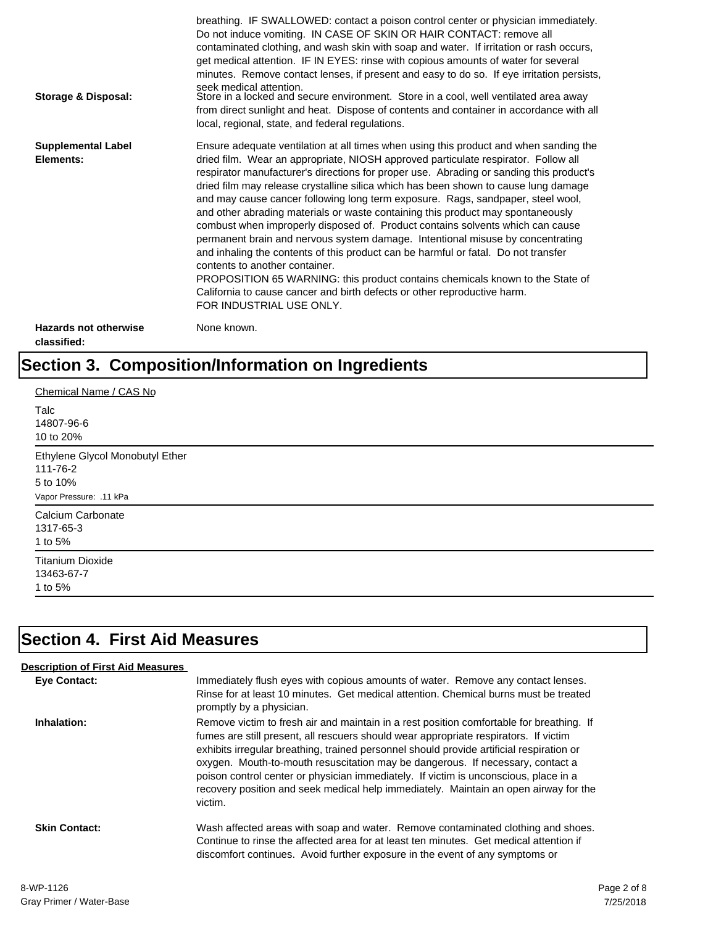| Storage & Disposal:                         | breathing. IF SWALLOWED: contact a poison control center or physician immediately.<br>Do not induce vomiting. IN CASE OF SKIN OR HAIR CONTACT: remove all<br>contaminated clothing, and wash skin with soap and water. If irritation or rash occurs,<br>get medical attention. IF IN EYES: rinse with copious amounts of water for several<br>minutes. Remove contact lenses, if present and easy to do so. If eye irritation persists,<br>seek medical attention.<br>Store in a locked and secure environment. Store in a cool, well ventilated area away<br>from direct sunlight and heat. Dispose of contents and container in accordance with all<br>local, regional, state, and federal regulations.                                                                                                                                                                                                                                                                                                                |
|---------------------------------------------|--------------------------------------------------------------------------------------------------------------------------------------------------------------------------------------------------------------------------------------------------------------------------------------------------------------------------------------------------------------------------------------------------------------------------------------------------------------------------------------------------------------------------------------------------------------------------------------------------------------------------------------------------------------------------------------------------------------------------------------------------------------------------------------------------------------------------------------------------------------------------------------------------------------------------------------------------------------------------------------------------------------------------|
| <b>Supplemental Label</b><br>Elements:      | Ensure adequate ventilation at all times when using this product and when sanding the<br>dried film. Wear an appropriate, NIOSH approved particulate respirator. Follow all<br>respirator manufacturer's directions for proper use. Abrading or sanding this product's<br>dried film may release crystalline silica which has been shown to cause lung damage<br>and may cause cancer following long term exposure. Rags, sandpaper, steel wool,<br>and other abrading materials or waste containing this product may spontaneously<br>combust when improperly disposed of. Product contains solvents which can cause<br>permanent brain and nervous system damage. Intentional misuse by concentrating<br>and inhaling the contents of this product can be harmful or fatal. Do not transfer<br>contents to another container.<br>PROPOSITION 65 WARNING: this product contains chemicals known to the State of<br>California to cause cancer and birth defects or other reproductive harm.<br>FOR INDUSTRIAL USE ONLY. |
| <b>Hazards not otherwise</b><br>classified: | None known.                                                                                                                                                                                                                                                                                                                                                                                                                                                                                                                                                                                                                                                                                                                                                                                                                                                                                                                                                                                                              |

## **Section 3. Composition/Information on Ingredients**

| Chemical Name / CAS No                                  |  |
|---------------------------------------------------------|--|
| Talc<br>14807-96-6<br>10 to 20%                         |  |
| Ethylene Glycol Monobutyl Ether<br>111-76-2<br>5 to 10% |  |
| Vapor Pressure: .11 kPa                                 |  |
| Calcium Carbonate<br>1317-65-3<br>1 to 5%               |  |
| <b>Titanium Dioxide</b><br>13463-67-7<br>1 to 5%        |  |

### **Section 4. First Aid Measures**

| <b>Description of First Aid Measures</b> |                                                                                                                                                                                                                                                                                                                                                                                                                                                                                                                                                           |
|------------------------------------------|-----------------------------------------------------------------------------------------------------------------------------------------------------------------------------------------------------------------------------------------------------------------------------------------------------------------------------------------------------------------------------------------------------------------------------------------------------------------------------------------------------------------------------------------------------------|
| <b>Eve Contact:</b>                      | Immediately flush eyes with copious amounts of water. Remove any contact lenses.<br>Rinse for at least 10 minutes. Get medical attention. Chemical burns must be treated<br>promptly by a physician.                                                                                                                                                                                                                                                                                                                                                      |
| Inhalation:                              | Remove victim to fresh air and maintain in a rest position comfortable for breathing. If<br>fumes are still present, all rescuers should wear appropriate respirators. If victim<br>exhibits irregular breathing, trained personnel should provide artificial respiration or<br>oxygen. Mouth-to-mouth resuscitation may be dangerous. If necessary, contact a<br>poison control center or physician immediately. If victim is unconscious, place in a<br>recovery position and seek medical help immediately. Maintain an open airway for the<br>victim. |
| <b>Skin Contact:</b>                     | Wash affected areas with soap and water. Remove contaminated clothing and shoes.<br>Continue to rinse the affected area for at least ten minutes. Get medical attention if<br>discomfort continues. Avoid further exposure in the event of any symptoms or                                                                                                                                                                                                                                                                                                |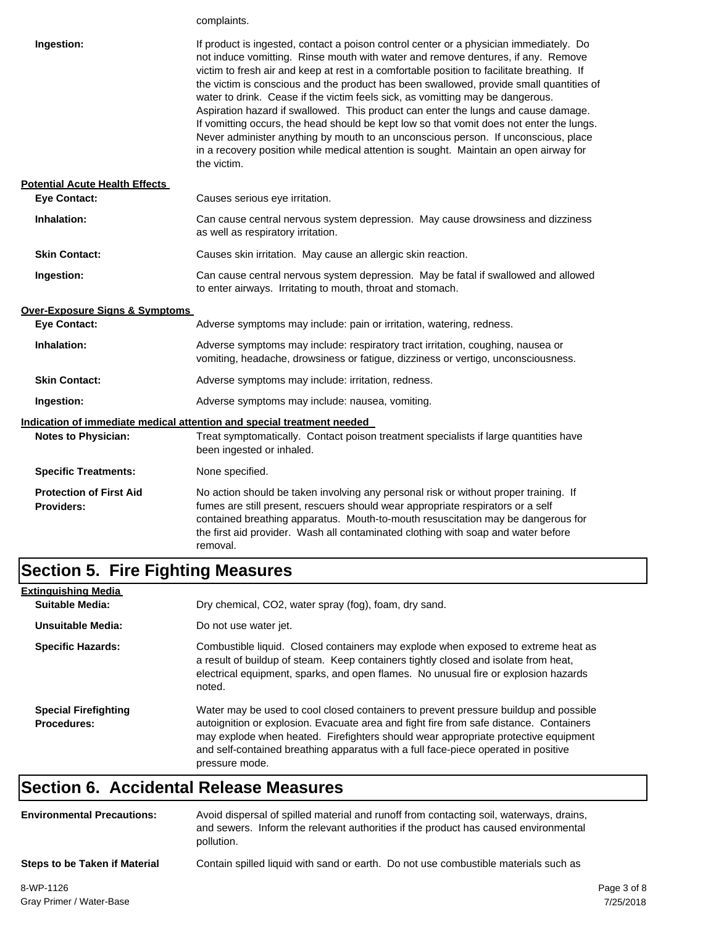|                                                     | complaints.                                                                                                                                                                                                                                                                                                                                                                                                                                                                                                                                                                                                                                                                                                                                                                                                                           |
|-----------------------------------------------------|---------------------------------------------------------------------------------------------------------------------------------------------------------------------------------------------------------------------------------------------------------------------------------------------------------------------------------------------------------------------------------------------------------------------------------------------------------------------------------------------------------------------------------------------------------------------------------------------------------------------------------------------------------------------------------------------------------------------------------------------------------------------------------------------------------------------------------------|
| Ingestion:                                          | If product is ingested, contact a poison control center or a physician immediately. Do<br>not induce vomitting. Rinse mouth with water and remove dentures, if any. Remove<br>victim to fresh air and keep at rest in a comfortable position to facilitate breathing. If<br>the victim is conscious and the product has been swallowed, provide small quantities of<br>water to drink. Cease if the victim feels sick, as vomitting may be dangerous.<br>Aspiration hazard if swallowed. This product can enter the lungs and cause damage.<br>If vomitting occurs, the head should be kept low so that vomit does not enter the lungs.<br>Never administer anything by mouth to an unconscious person. If unconscious, place<br>in a recovery position while medical attention is sought. Maintain an open airway for<br>the victim. |
| <b>Potential Acute Health Effects</b>               |                                                                                                                                                                                                                                                                                                                                                                                                                                                                                                                                                                                                                                                                                                                                                                                                                                       |
| <b>Eye Contact:</b>                                 | Causes serious eye irritation.                                                                                                                                                                                                                                                                                                                                                                                                                                                                                                                                                                                                                                                                                                                                                                                                        |
| Inhalation:                                         | Can cause central nervous system depression. May cause drowsiness and dizziness<br>as well as respiratory irritation.                                                                                                                                                                                                                                                                                                                                                                                                                                                                                                                                                                                                                                                                                                                 |
| <b>Skin Contact:</b>                                | Causes skin irritation. May cause an allergic skin reaction.                                                                                                                                                                                                                                                                                                                                                                                                                                                                                                                                                                                                                                                                                                                                                                          |
| Ingestion:                                          | Can cause central nervous system depression. May be fatal if swallowed and allowed<br>to enter airways. Irritating to mouth, throat and stomach.                                                                                                                                                                                                                                                                                                                                                                                                                                                                                                                                                                                                                                                                                      |
| Over-Exposure Signs & Symptoms                      |                                                                                                                                                                                                                                                                                                                                                                                                                                                                                                                                                                                                                                                                                                                                                                                                                                       |
| <b>Eye Contact:</b>                                 | Adverse symptoms may include: pain or irritation, watering, redness.                                                                                                                                                                                                                                                                                                                                                                                                                                                                                                                                                                                                                                                                                                                                                                  |
| Inhalation:                                         | Adverse symptoms may include: respiratory tract irritation, coughing, nausea or<br>vomiting, headache, drowsiness or fatigue, dizziness or vertigo, unconsciousness.                                                                                                                                                                                                                                                                                                                                                                                                                                                                                                                                                                                                                                                                  |
| <b>Skin Contact:</b>                                | Adverse symptoms may include: irritation, redness.                                                                                                                                                                                                                                                                                                                                                                                                                                                                                                                                                                                                                                                                                                                                                                                    |
| Ingestion:                                          | Adverse symptoms may include: nausea, vomiting.                                                                                                                                                                                                                                                                                                                                                                                                                                                                                                                                                                                                                                                                                                                                                                                       |
|                                                     | <u>Indication of immediate medical attention and special treatment needed</u>                                                                                                                                                                                                                                                                                                                                                                                                                                                                                                                                                                                                                                                                                                                                                         |
| <b>Notes to Physician:</b>                          | Treat symptomatically. Contact poison treatment specialists if large quantities have<br>been ingested or inhaled.                                                                                                                                                                                                                                                                                                                                                                                                                                                                                                                                                                                                                                                                                                                     |
| <b>Specific Treatments:</b>                         | None specified.                                                                                                                                                                                                                                                                                                                                                                                                                                                                                                                                                                                                                                                                                                                                                                                                                       |
| <b>Protection of First Aid</b><br><b>Providers:</b> | No action should be taken involving any personal risk or without proper training. If<br>fumes are still present, rescuers should wear appropriate respirators or a self<br>contained breathing apparatus. Mouth-to-mouth resuscitation may be dangerous for<br>the first aid provider. Wash all contaminated clothing with soap and water before<br>removal.                                                                                                                                                                                                                                                                                                                                                                                                                                                                          |

# **Section 5. Fire Fighting Measures**

| <b>Extinguishing Media</b>                        |                                                                                                                                                                                                                                                                                                                                                                              |
|---------------------------------------------------|------------------------------------------------------------------------------------------------------------------------------------------------------------------------------------------------------------------------------------------------------------------------------------------------------------------------------------------------------------------------------|
| Suitable Media:                                   | Dry chemical, CO2, water spray (fog), foam, dry sand.                                                                                                                                                                                                                                                                                                                        |
| Unsuitable Media:                                 | Do not use water jet.                                                                                                                                                                                                                                                                                                                                                        |
| <b>Specific Hazards:</b>                          | Combustible liquid. Closed containers may explode when exposed to extreme heat as<br>a result of buildup of steam. Keep containers tightly closed and isolate from heat,<br>electrical equipment, sparks, and open flames. No unusual fire or explosion hazards<br>noted.                                                                                                    |
| <b>Special Firefighting</b><br><b>Procedures:</b> | Water may be used to cool closed containers to prevent pressure buildup and possible<br>autoignition or explosion. Evacuate area and fight fire from safe distance. Containers<br>may explode when heated. Firefighters should wear appropriate protective equipment<br>and self-contained breathing apparatus with a full face-piece operated in positive<br>pressure mode. |

#### **Section 6. Accidental Release Measures**

| <b>Environmental Precautions:</b> | Avoid dispersal of spilled material and runoff from contacting soil, waterways, drains,<br>and sewers. Inform the relevant authorities if the product has caused environmental<br>pollution. |  |  |
|-----------------------------------|----------------------------------------------------------------------------------------------------------------------------------------------------------------------------------------------|--|--|
| Steps to be Taken if Material     | Contain spilled liquid with sand or earth. Do not use combustible materials such as                                                                                                          |  |  |
| 0.1117.112                        |                                                                                                                                                                                              |  |  |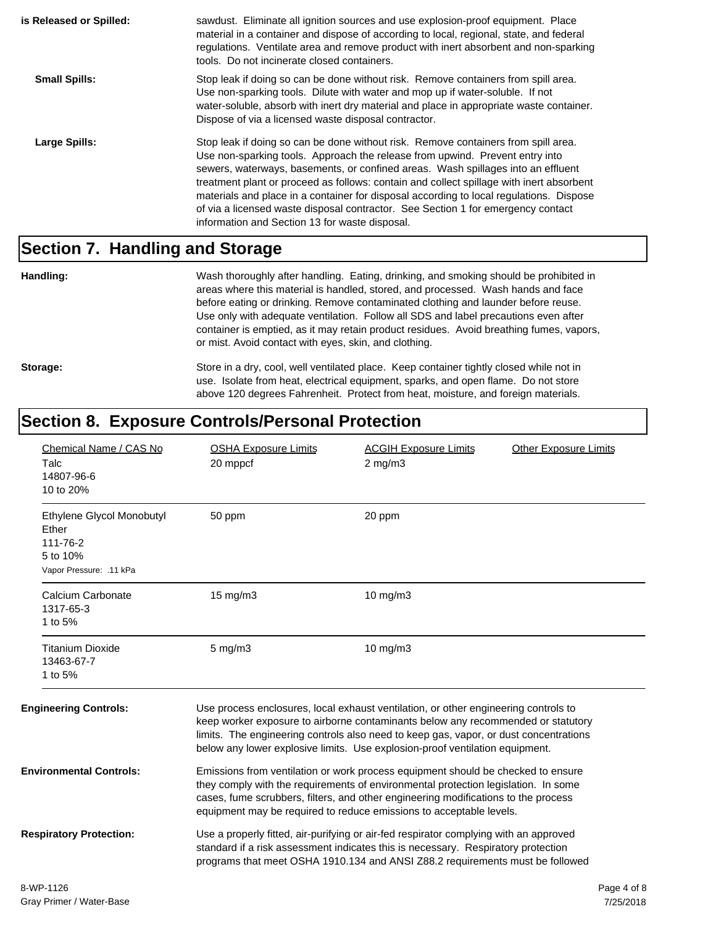| is Released or Spilled: | sawdust. Eliminate all ignition sources and use explosion-proof equipment. Place<br>material in a container and dispose of according to local, regional, state, and federal<br>regulations. Ventilate area and remove product with inert absorbent and non-sparking<br>tools. Do not incinerate closed containers.                                                                                                                                                                                                                                                                  |
|-------------------------|-------------------------------------------------------------------------------------------------------------------------------------------------------------------------------------------------------------------------------------------------------------------------------------------------------------------------------------------------------------------------------------------------------------------------------------------------------------------------------------------------------------------------------------------------------------------------------------|
| <b>Small Spills:</b>    | Stop leak if doing so can be done without risk. Remove containers from spill area.<br>Use non-sparking tools. Dilute with water and mop up if water-soluble. If not<br>water-soluble, absorb with inert dry material and place in appropriate waste container.<br>Dispose of via a licensed waste disposal contractor.                                                                                                                                                                                                                                                              |
| Large Spills:           | Stop leak if doing so can be done without risk. Remove containers from spill area.<br>Use non-sparking tools. Approach the release from upwind. Prevent entry into<br>sewers, waterways, basements, or confined areas. Wash spillages into an effluent<br>treatment plant or proceed as follows: contain and collect spillage with inert absorbent<br>materials and place in a container for disposal according to local regulations. Dispose<br>of via a licensed waste disposal contractor. See Section 1 for emergency contact<br>information and Section 13 for waste disposal. |

#### **Section 7. Handling and Storage**

**Handling:** Wash thoroughly after handling. Eating, drinking, and smoking should be prohibited in areas where this material is handled, stored, and processed. Wash hands and face before eating or drinking. Remove contaminated clothing and launder before reuse. Use only with adequate ventilation. Follow all SDS and label precautions even after container is emptied, as it may retain product residues. Avoid breathing fumes, vapors, or mist. Avoid contact with eyes, skin, and clothing.

Storage: Store in a dry, cool, well ventilated place. Keep container tightly closed while not in use. Isolate from heat, electrical equipment, sparks, and open flame. Do not store above 120 degrees Fahrenheit. Protect from heat, moisture, and foreign materials.

#### **Section 8. Exposure Controls/Personal Protection**

| Chemical Name / CAS No<br>Talc<br>14807-96-6<br>10 to 20%                             | <b>OSHA Exposure Limits</b><br>20 mppcf                                                                                                                                                                                                                                                                                             | <b>Other Exposure Limits</b><br><b>ACGIH Exposure Limits</b><br>$2$ mg/m $3$                                                                                                                                                                                                                                                                     |             |
|---------------------------------------------------------------------------------------|-------------------------------------------------------------------------------------------------------------------------------------------------------------------------------------------------------------------------------------------------------------------------------------------------------------------------------------|--------------------------------------------------------------------------------------------------------------------------------------------------------------------------------------------------------------------------------------------------------------------------------------------------------------------------------------------------|-------------|
| Ethylene Glycol Monobutyl<br>Ether<br>111-76-2<br>5 to 10%<br>Vapor Pressure: .11 kPa | 50 ppm                                                                                                                                                                                                                                                                                                                              | 20 ppm                                                                                                                                                                                                                                                                                                                                           |             |
| Calcium Carbonate<br>1317-65-3<br>1 to 5%                                             | 15 mg/m3                                                                                                                                                                                                                                                                                                                            | 10 mg/m3                                                                                                                                                                                                                                                                                                                                         |             |
| <b>Titanium Dioxide</b><br>13463-67-7<br>1 to 5%                                      | $5$ mg/m $3$                                                                                                                                                                                                                                                                                                                        | 10 mg/m3                                                                                                                                                                                                                                                                                                                                         |             |
| <b>Engineering Controls:</b>                                                          |                                                                                                                                                                                                                                                                                                                                     | Use process enclosures, local exhaust ventilation, or other engineering controls to<br>keep worker exposure to airborne contaminants below any recommended or statutory<br>limits. The engineering controls also need to keep gas, vapor, or dust concentrations<br>below any lower explosive limits. Use explosion-proof ventilation equipment. |             |
| <b>Environmental Controls:</b>                                                        | Emissions from ventilation or work process equipment should be checked to ensure<br>they comply with the requirements of environmental protection legislation. In some<br>cases, fume scrubbers, filters, and other engineering modifications to the process<br>equipment may be required to reduce emissions to acceptable levels. |                                                                                                                                                                                                                                                                                                                                                  |             |
| <b>Respiratory Protection:</b>                                                        |                                                                                                                                                                                                                                                                                                                                     | Use a properly fitted, air-purifying or air-fed respirator complying with an approved<br>standard if a risk assessment indicates this is necessary. Respiratory protection<br>programs that meet OSHA 1910.134 and ANSI Z88.2 requirements must be followed                                                                                      |             |
| 8-WP-1126                                                                             |                                                                                                                                                                                                                                                                                                                                     |                                                                                                                                                                                                                                                                                                                                                  | Page 4 of 8 |
| Croy Drimor / Water Roco                                                              |                                                                                                                                                                                                                                                                                                                                     |                                                                                                                                                                                                                                                                                                                                                  | 7/25/2010   |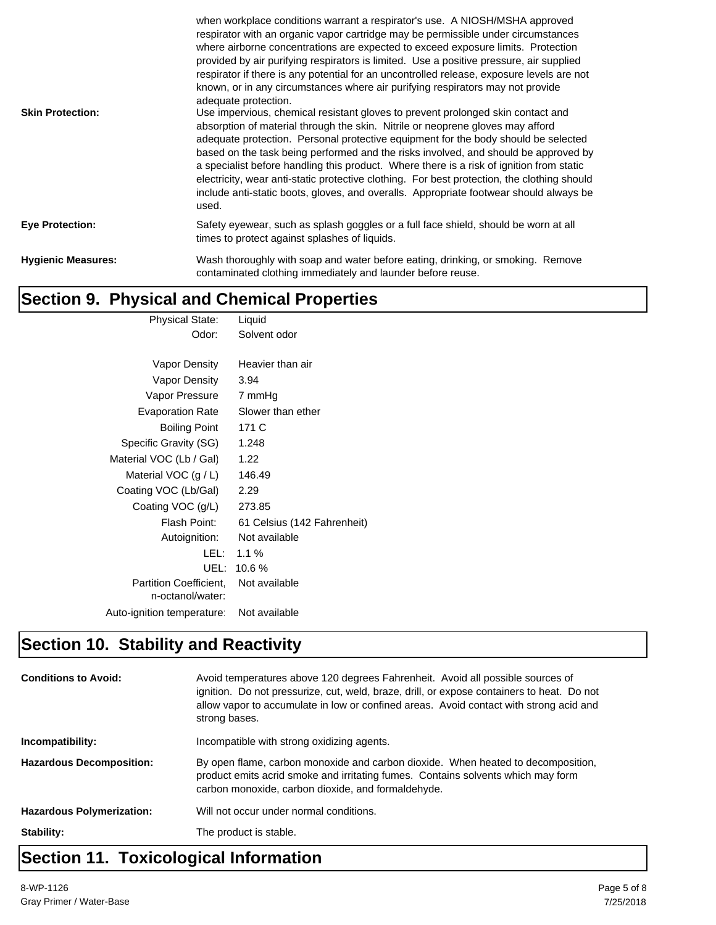| <b>Skin Protection:</b>   | when workplace conditions warrant a respirator's use. A NIOSH/MSHA approved<br>respirator with an organic vapor cartridge may be permissible under circumstances<br>where airborne concentrations are expected to exceed exposure limits. Protection<br>provided by air purifying respirators is limited. Use a positive pressure, air supplied<br>respirator if there is any potential for an uncontrolled release, exposure levels are not<br>known, or in any circumstances where air purifying respirators may not provide<br>adequate protection.<br>Use impervious, chemical resistant gloves to prevent prolonged skin contact and<br>absorption of material through the skin. Nitrile or neoprene gloves may afford<br>adequate protection. Personal protective equipment for the body should be selected<br>based on the task being performed and the risks involved, and should be approved by<br>a specialist before handling this product. Where there is a risk of ignition from static<br>electricity, wear anti-static protective clothing. For best protection, the clothing should<br>include anti-static boots, gloves, and overalls. Appropriate footwear should always be<br>used. |
|---------------------------|--------------------------------------------------------------------------------------------------------------------------------------------------------------------------------------------------------------------------------------------------------------------------------------------------------------------------------------------------------------------------------------------------------------------------------------------------------------------------------------------------------------------------------------------------------------------------------------------------------------------------------------------------------------------------------------------------------------------------------------------------------------------------------------------------------------------------------------------------------------------------------------------------------------------------------------------------------------------------------------------------------------------------------------------------------------------------------------------------------------------------------------------------------------------------------------------------------|
| <b>Eye Protection:</b>    | Safety eyewear, such as splash goggles or a full face shield, should be worn at all<br>times to protect against splashes of liquids.                                                                                                                                                                                                                                                                                                                                                                                                                                                                                                                                                                                                                                                                                                                                                                                                                                                                                                                                                                                                                                                                   |
| <b>Hygienic Measures:</b> | Wash thoroughly with soap and water before eating, drinking, or smoking. Remove<br>contaminated clothing immediately and launder before reuse.                                                                                                                                                                                                                                                                                                                                                                                                                                                                                                                                                                                                                                                                                                                                                                                                                                                                                                                                                                                                                                                         |

### **Section 9. Physical and Chemical Properties**

| <b>Physical State:</b>        | Liquid                      |
|-------------------------------|-----------------------------|
| Odor:                         | Solvent odor                |
|                               |                             |
| Vapor Density                 | Heavier than air            |
| <b>Vapor Density</b>          | 3.94                        |
| Vapor Pressure                | 7 mmHg                      |
| <b>Evaporation Rate</b>       | Slower than ether           |
| <b>Boiling Point</b>          | 171 C                       |
| Specific Gravity (SG)         | 1.248                       |
| Material VOC (Lb / Gal)       | 1.22                        |
| Material VOC $(g/L)$          | 146.49                      |
| Coating VOC (Lb/Gal)          | 2.29                        |
| Coating VOC (g/L)             | 273.85                      |
| Flash Point:                  | 61 Celsius (142 Fahrenheit) |
| Autoignition:                 | Not available               |
| LEL: I                        | $1.1\%$                     |
| UEL:                          | 10.6 %                      |
| <b>Partition Coefficient.</b> | Not available               |
| n-octanol/water:              |                             |
| Auto-ignition temperature:    | Not available               |
|                               |                             |

## **Section 10. Stability and Reactivity**

| <b>Conditions to Avoid:</b>      | Avoid temperatures above 120 degrees Fahrenheit. Avoid all possible sources of<br>ignition. Do not pressurize, cut, weld, braze, drill, or expose containers to heat. Do not<br>allow vapor to accumulate in low or confined areas. Avoid contact with strong acid and<br>strong bases. |  |
|----------------------------------|-----------------------------------------------------------------------------------------------------------------------------------------------------------------------------------------------------------------------------------------------------------------------------------------|--|
| Incompatibility:                 | Incompatible with strong oxidizing agents.                                                                                                                                                                                                                                              |  |
| <b>Hazardous Decomposition:</b>  | By open flame, carbon monoxide and carbon dioxide. When heated to decomposition,<br>product emits acrid smoke and irritating fumes. Contains solvents which may form<br>carbon monoxide, carbon dioxide, and formaldehyde.                                                              |  |
| <b>Hazardous Polymerization:</b> | Will not occur under normal conditions.                                                                                                                                                                                                                                                 |  |
| Stability:                       | The product is stable.                                                                                                                                                                                                                                                                  |  |
|                                  |                                                                                                                                                                                                                                                                                         |  |

#### **Section 11. Toxicological Information**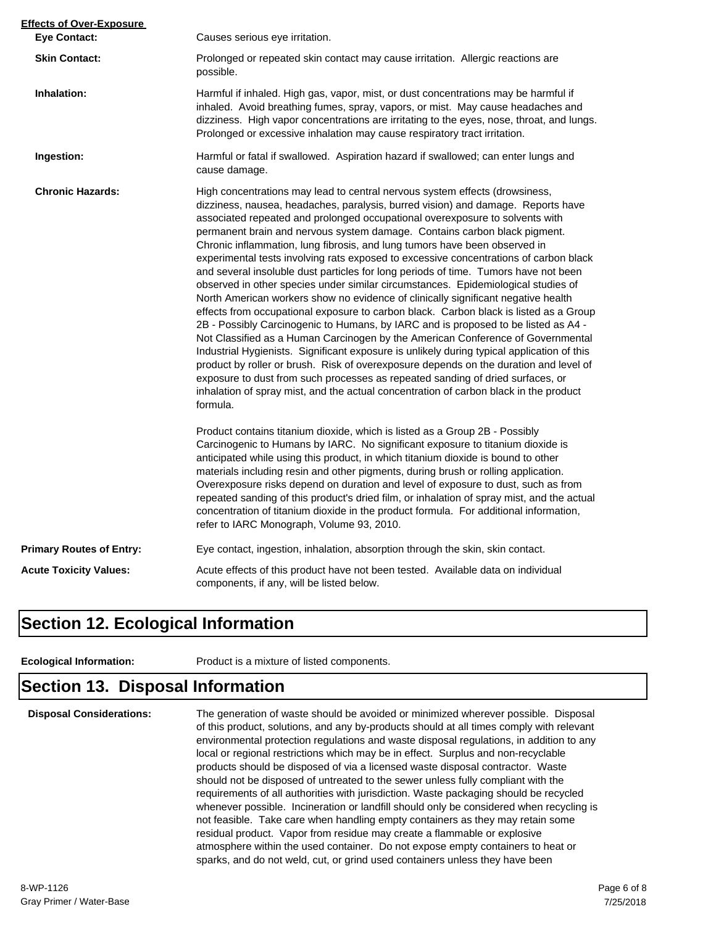| <b>Effects of Over-Exposure</b> |                                                                                                                                                                                                                                                                                                                                                                                                                                                                                                                                                                                                                                                                                                                                                                                                                                                                                                                                                                                                                                                                                                                                                                                                                                                                                                                                                                                                                      |  |  |
|---------------------------------|----------------------------------------------------------------------------------------------------------------------------------------------------------------------------------------------------------------------------------------------------------------------------------------------------------------------------------------------------------------------------------------------------------------------------------------------------------------------------------------------------------------------------------------------------------------------------------------------------------------------------------------------------------------------------------------------------------------------------------------------------------------------------------------------------------------------------------------------------------------------------------------------------------------------------------------------------------------------------------------------------------------------------------------------------------------------------------------------------------------------------------------------------------------------------------------------------------------------------------------------------------------------------------------------------------------------------------------------------------------------------------------------------------------------|--|--|
| <b>Eye Contact:</b>             | Causes serious eye irritation.                                                                                                                                                                                                                                                                                                                                                                                                                                                                                                                                                                                                                                                                                                                                                                                                                                                                                                                                                                                                                                                                                                                                                                                                                                                                                                                                                                                       |  |  |
| <b>Skin Contact:</b>            | Prolonged or repeated skin contact may cause irritation. Allergic reactions are<br>possible.                                                                                                                                                                                                                                                                                                                                                                                                                                                                                                                                                                                                                                                                                                                                                                                                                                                                                                                                                                                                                                                                                                                                                                                                                                                                                                                         |  |  |
| Inhalation:                     | Harmful if inhaled. High gas, vapor, mist, or dust concentrations may be harmful if<br>inhaled. Avoid breathing fumes, spray, vapors, or mist. May cause headaches and<br>dizziness. High vapor concentrations are irritating to the eyes, nose, throat, and lungs.<br>Prolonged or excessive inhalation may cause respiratory tract irritation.                                                                                                                                                                                                                                                                                                                                                                                                                                                                                                                                                                                                                                                                                                                                                                                                                                                                                                                                                                                                                                                                     |  |  |
| Ingestion:                      | Harmful or fatal if swallowed. Aspiration hazard if swallowed; can enter lungs and<br>cause damage.                                                                                                                                                                                                                                                                                                                                                                                                                                                                                                                                                                                                                                                                                                                                                                                                                                                                                                                                                                                                                                                                                                                                                                                                                                                                                                                  |  |  |
| <b>Chronic Hazards:</b>         | High concentrations may lead to central nervous system effects (drowsiness,<br>dizziness, nausea, headaches, paralysis, burred vision) and damage. Reports have<br>associated repeated and prolonged occupational overexposure to solvents with<br>permanent brain and nervous system damage. Contains carbon black pigment.<br>Chronic inflammation, lung fibrosis, and lung tumors have been observed in<br>experimental tests involving rats exposed to excessive concentrations of carbon black<br>and several insoluble dust particles for long periods of time. Tumors have not been<br>observed in other species under similar circumstances. Epidemiological studies of<br>North American workers show no evidence of clinically significant negative health<br>effects from occupational exposure to carbon black. Carbon black is listed as a Group<br>2B - Possibly Carcinogenic to Humans, by IARC and is proposed to be listed as A4 -<br>Not Classified as a Human Carcinogen by the American Conference of Governmental<br>Industrial Hygienists. Significant exposure is unlikely during typical application of this<br>product by roller or brush. Risk of overexposure depends on the duration and level of<br>exposure to dust from such processes as repeated sanding of dried surfaces, or<br>inhalation of spray mist, and the actual concentration of carbon black in the product<br>formula. |  |  |
|                                 | Product contains titanium dioxide, which is listed as a Group 2B - Possibly<br>Carcinogenic to Humans by IARC. No significant exposure to titanium dioxide is<br>anticipated while using this product, in which titanium dioxide is bound to other<br>materials including resin and other pigments, during brush or rolling application.<br>Overexposure risks depend on duration and level of exposure to dust, such as from<br>repeated sanding of this product's dried film, or inhalation of spray mist, and the actual<br>concentration of titanium dioxide in the product formula. For additional information,<br>refer to IARC Monograph, Volume 93, 2010.                                                                                                                                                                                                                                                                                                                                                                                                                                                                                                                                                                                                                                                                                                                                                    |  |  |
| <b>Primary Routes of Entry:</b> | Eye contact, ingestion, inhalation, absorption through the skin, skin contact.                                                                                                                                                                                                                                                                                                                                                                                                                                                                                                                                                                                                                                                                                                                                                                                                                                                                                                                                                                                                                                                                                                                                                                                                                                                                                                                                       |  |  |
| <b>Acute Toxicity Values:</b>   | Acute effects of this product have not been tested. Available data on individual<br>components, if any, will be listed below.                                                                                                                                                                                                                                                                                                                                                                                                                                                                                                                                                                                                                                                                                                                                                                                                                                                                                                                                                                                                                                                                                                                                                                                                                                                                                        |  |  |

#### **Section 12. Ecological Information**

**Ecological Information:** Product is a mixture of listed components.

#### **Section 13. Disposal Information**

**Disposal Considerations:** The generation of waste should be avoided or minimized wherever possible. Disposal of this product, solutions, and any by-products should at all times comply with relevant environmental protection regulations and waste disposal regulations, in addition to any local or regional restrictions which may be in effect. Surplus and non-recyclable products should be disposed of via a licensed waste disposal contractor. Waste should not be disposed of untreated to the sewer unless fully compliant with the requirements of all authorities with jurisdiction. Waste packaging should be recycled whenever possible. Incineration or landfill should only be considered when recycling is not feasible. Take care when handling empty containers as they may retain some residual product. Vapor from residue may create a flammable or explosive atmosphere within the used container. Do not expose empty containers to heat or sparks, and do not weld, cut, or grind used containers unless they have been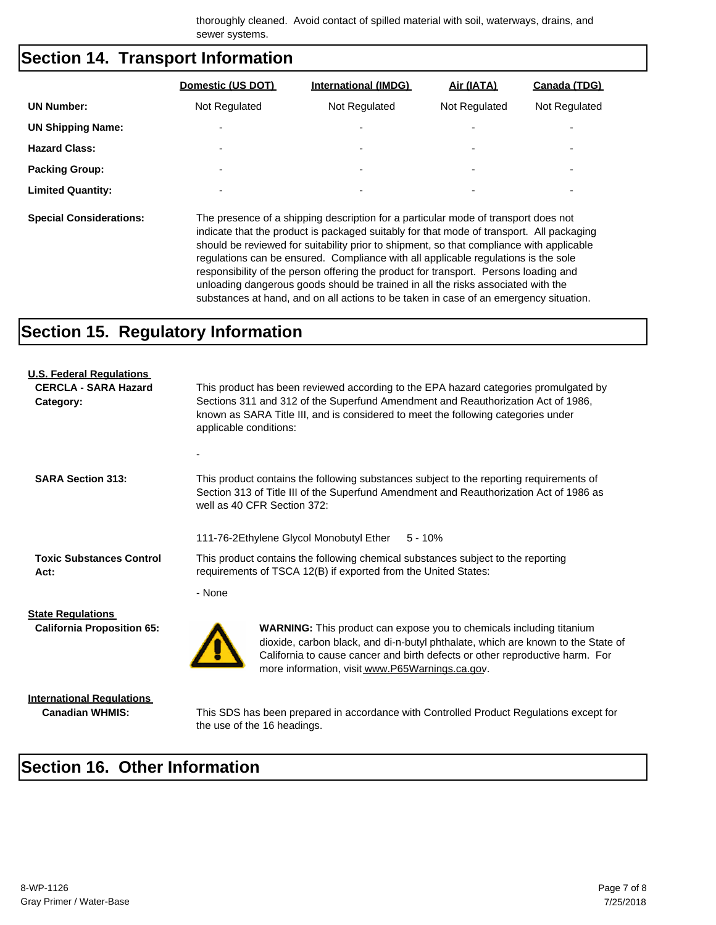thoroughly cleaned. Avoid contact of spilled material with soil, waterways, drains, and sewer systems.

#### **Section 14. Transport Information**

|                          | Domestic (US DOT)        | <b>International (IMDG)</b> | Air (IATA)               | Canada (TDG)             |
|--------------------------|--------------------------|-----------------------------|--------------------------|--------------------------|
| <b>UN Number:</b>        | Not Regulated            | Not Regulated               | Not Regulated            | Not Regulated            |
| <b>UN Shipping Name:</b> |                          | ۰                           | -                        | $\overline{\phantom{0}}$ |
| <b>Hazard Class:</b>     | $\overline{\phantom{a}}$ | ۰                           | $\overline{\phantom{0}}$ | ٠                        |
| <b>Packing Group:</b>    | $\overline{\phantom{a}}$ | $\overline{\phantom{a}}$    | $\overline{\phantom{0}}$ | $\overline{\phantom{0}}$ |
| <b>Limited Quantity:</b> | $\overline{\phantom{0}}$ | ۰                           | $\overline{\phantom{0}}$ | ٠                        |
|                          |                          |                             |                          |                          |

**Special Considerations:** The presence of a shipping description for a particular mode of transport does not indicate that the product is packaged suitably for that mode of transport. All packaging should be reviewed for suitability prior to shipment, so that compliance with applicable regulations can be ensured. Compliance with all applicable regulations is the sole responsibility of the person offering the product for transport. Persons loading and unloading dangerous goods should be trained in all the risks associated with the substances at hand, and on all actions to be taken in case of an emergency situation.

#### **Section 15. Regulatory Information**

| <b>U.S. Federal Regulations</b><br><b>CERCLA - SARA Hazard</b><br>Category: | This product has been reviewed according to the EPA hazard categories promulgated by<br>Sections 311 and 312 of the Superfund Amendment and Reauthorization Act of 1986,<br>known as SARA Title III, and is considered to meet the following categories under<br>applicable conditions:            |  |  |  |
|-----------------------------------------------------------------------------|----------------------------------------------------------------------------------------------------------------------------------------------------------------------------------------------------------------------------------------------------------------------------------------------------|--|--|--|
|                                                                             |                                                                                                                                                                                                                                                                                                    |  |  |  |
| <b>SARA Section 313:</b>                                                    | This product contains the following substances subject to the reporting requirements of<br>Section 313 of Title III of the Superfund Amendment and Reauthorization Act of 1986 as<br>well as 40 CFR Section 372:                                                                                   |  |  |  |
|                                                                             | 111-76-2Ethylene Glycol Monobutyl Ether<br>$5 - 10%$                                                                                                                                                                                                                                               |  |  |  |
| <b>Toxic Substances Control</b><br>Act:                                     | This product contains the following chemical substances subject to the reporting<br>requirements of TSCA 12(B) if exported from the United States:                                                                                                                                                 |  |  |  |
|                                                                             | - None                                                                                                                                                                                                                                                                                             |  |  |  |
| <b>State Regulations</b><br><b>California Proposition 65:</b>               | <b>WARNING:</b> This product can expose you to chemicals including titanium<br>dioxide, carbon black, and di-n-butyl phthalate, which are known to the State of<br>California to cause cancer and birth defects or other reproductive harm. For<br>more information, visit www.P65Warnings.ca.gov. |  |  |  |

**International Regulations**

**Canadian WHMIS:** This SDS has been prepared in accordance with Controlled Product Regulations except for the use of the 16 headings.

#### **Section 16. Other Information**